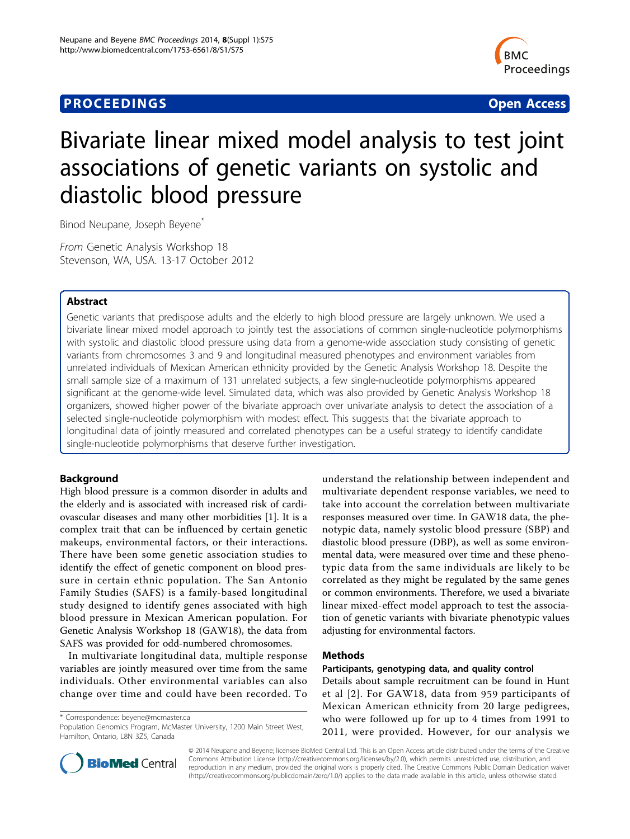## **PROCEEDINGS STATES CONSUMING S** Open Access **CONSUMING S**



# Bivariate linear mixed model analysis to test joint associations of genetic variants on systolic and diastolic blood pressure

Binod Neupane, Joseph Beyene<sup>\*</sup>

From Genetic Analysis Workshop 18 Stevenson, WA, USA. 13-17 October 2012

## Abstract

Genetic variants that predispose adults and the elderly to high blood pressure are largely unknown. We used a bivariate linear mixed model approach to jointly test the associations of common single-nucleotide polymorphisms with systolic and diastolic blood pressure using data from a genome-wide association study consisting of genetic variants from chromosomes 3 and 9 and longitudinal measured phenotypes and environment variables from unrelated individuals of Mexican American ethnicity provided by the Genetic Analysis Workshop 18. Despite the small sample size of a maximum of 131 unrelated subjects, a few single-nucleotide polymorphisms appeared significant at the genome-wide level. Simulated data, which was also provided by Genetic Analysis Workshop 18 organizers, showed higher power of the bivariate approach over univariate analysis to detect the association of a selected single-nucleotide polymorphism with modest effect. This suggests that the bivariate approach to longitudinal data of jointly measured and correlated phenotypes can be a useful strategy to identify candidate single-nucleotide polymorphisms that deserve further investigation.

## Background

High blood pressure is a common disorder in adults and the elderly and is associated with increased risk of cardiovascular diseases and many other morbidities [[1\]](#page-5-0). It is a complex trait that can be influenced by certain genetic makeups, environmental factors, or their interactions. There have been some genetic association studies to identify the effect of genetic component on blood pressure in certain ethnic population. The San Antonio Family Studies (SAFS) is a family-based longitudinal study designed to identify genes associated with high blood pressure in Mexican American population. For Genetic Analysis Workshop 18 (GAW18), the data from SAFS was provided for odd-numbered chromosomes.

In multivariate longitudinal data, multiple response variables are jointly measured over time from the same individuals. Other environmental variables can also change over time and could have been recorded. To

\* Correspondence: [beyene@mcmaster.ca](mailto:beyene@mcmaster.ca)

Population Genomics Program, McMaster University, 1200 Main Street West, Hamilton, Ontario, L8N 3Z5, Canada

understand the relationship between independent and multivariate dependent response variables, we need to take into account the correlation between multivariate responses measured over time. In GAW18 data, the phenotypic data, namely systolic blood pressure (SBP) and diastolic blood pressure (DBP), as well as some environmental data, were measured over time and these phenotypic data from the same individuals are likely to be correlated as they might be regulated by the same genes or common environments. Therefore, we used a bivariate linear mixed-effect model approach to test the association of genetic variants with bivariate phenotypic values adjusting for environmental factors.

## Methods

#### Participants, genotyping data, and quality control

Details about sample recruitment can be found in Hunt et al [[2](#page-5-0)]. For GAW18, data from 959 participants of Mexican American ethnicity from 20 large pedigrees, who were followed up for up to 4 times from 1991 to 2011, were provided. However, for our analysis we



© 2014 Neupane and Beyene; licensee BioMed Central Ltd. This is an Open Access article distributed under the terms of the Creative Commons Attribution License [\(http://creativecommons.org/licenses/by/2.0](http://creativecommons.org/licenses/by/2.0)), which permits unrestricted use, distribution, and reproduction in any medium, provided the original work is properly cited. The Creative Commons Public Domain Dedication waiver [\(http://creativecommons.org/publicdomain/zero/1.0/](http://creativecommons.org/publicdomain/zero/1.0/)) applies to the data made available in this article, unless otherwise stated.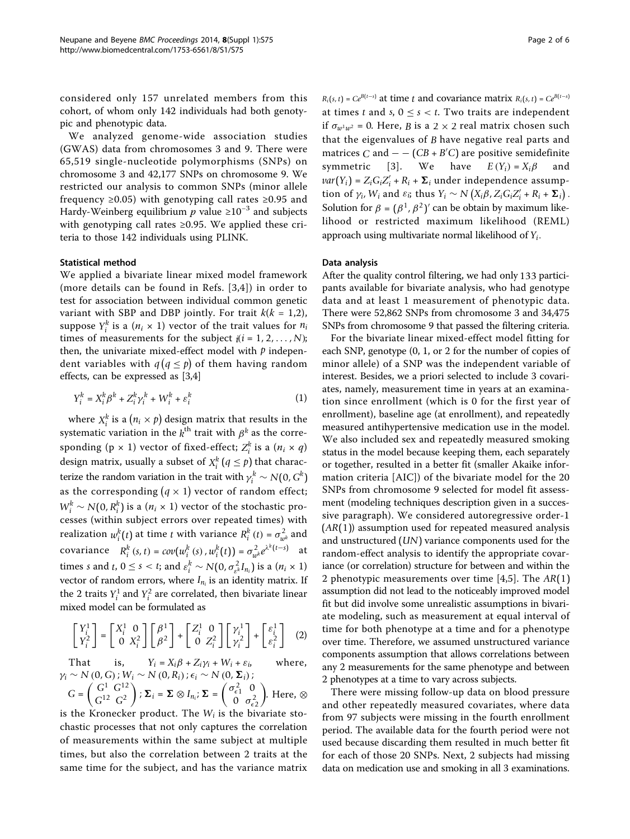considered only 157 unrelated members from this cohort, of whom only 142 individuals had both genotypic and phenotypic data.

We analyzed genome-wide association studies (GWAS) data from chromosomes 3 and 9. There were 65,519 single-nucleotide polymorphisms (SNPs) on chromosome 3 and 42,177 SNPs on chromosome 9. We restricted our analysis to common SNPs (minor allele frequency ≥0.05) with genotyping call rates ≥0.95 and Hardy-Weinberg equilibrium  $p$  value ≥10<sup>-3</sup> and subjects with genotyping call rates ≥0.95. We applied these criteria to those 142 individuals using PLINK.

#### Statistical method

We applied a bivariate linear mixed model framework (more details can be found in Refs. [[3,4](#page-5-0)]) in order to test for association between individual common genetic variant with SBP and DBP jointly. For trait  $k(k = 1,2)$ , suppose  $Y_i^k$  is a  $(n_i \times 1)$  vector of the trait values for  $n_i$ times of measurements for the subject  $i(i = 1, 2, ..., N)$ ; then, the univariate mixed-effect model with *p* independent variables with  $q (q \leq p)$  of them having random effects, can be expressed as [\[3,4](#page-5-0)]

$$
Y_i^k = X_i^k \beta^k + Z_i^k \gamma_i^k + W_i^k + \varepsilon_i^k \tag{1}
$$

where  $X_i^k$  is a  $(n_i \times p)$  design matrix that results in the systematic variation in the  $k^{\text{th}}$  trait with  $\beta^k$  as the corresponding (p  $\times$  1) vector of fixed-effect;  $Z_i^k$  is a ( $n_i \times q$ ) design matrix, usually a subset of  $X_i^k$   $(q \leq p)$  that characterize the random variation in the trait with  $\gamma_i^k \sim N(0, G^k)$ as the corresponding  $(q \times 1)$  vector of random effect;  $W_i^k \sim N(0, R_i^k)$  is a  $(n_i \times 1)$  vector of the stochastic processes (within subject errors over repeated times) with realization  $w_i^k(t)$  at time *t* with variance  $R_i^k(t) = \sigma_{w^k}^2$  and covariance  $R_i^k(s, t) = cov(w_i^k(s), w_i^k(t)) = \sigma_{w_i^k}^2 e^{\lambda^k(t-s)}$  at times *s* and *t*,  $0 \le s < t$ ; and  $\varepsilon_i^k \sim N(0, \sigma_{\varepsilon^k}^2 I_{n_i})$  is a  $(n_i \times 1)$ vector of random errors, where  $I_{n_i}$  is an identity matrix. If the 2 traits  $Y_i^1$  and  $Y_i^2$  are correlated, then bivariate linear mixed model can be formulated as

$$
\begin{bmatrix} Y_i^1 \\ Y_i^2 \end{bmatrix} = \begin{bmatrix} X_i^1 & 0 \\ 0 & X_i^2 \end{bmatrix} \begin{bmatrix} \beta^1 \\ \beta^2 \end{bmatrix} + \begin{bmatrix} Z_i^1 & 0 \\ 0 & Z_i^2 \end{bmatrix} \begin{bmatrix} \gamma_i^1 \\ \gamma_i^2 \end{bmatrix} + \begin{bmatrix} \varepsilon_i^1 \\ \varepsilon_i^2 \end{bmatrix} \tag{2}
$$

That is,  $Y_i = X_i \beta + Z_i \gamma_i + W_i + \varepsilon_i$ , where,  $\gamma_i \sim N(0, G)$ ;  $W_i \sim N(0, R_i)$ ;  $\epsilon_i \sim N(0, \Sigma_i)$ ;

$$
G = \begin{pmatrix} G^1 & G^{12} \\ G^{12} & G^2 \end{pmatrix}; \Sigma_i = \Sigma \otimes I_{n_i}; \Sigma = \begin{pmatrix} \sigma_{\epsilon 1}^2 & 0 \\ 0 & \sigma_{\epsilon 2}^2 \end{pmatrix}.
$$
 Here,  $\otimes$ 

is the Kronecker product. The  $W_i$  is the bivariate stochastic processes that not only captures the correlation of measurements within the same subject at multiple times, but also the correlation between 2 traits at the same time for the subject, and has the variance matrix  $R_i(s, t) = Ce^{B(t-s)}$  at time *t* and covariance matrix  $R_i(s, t) = Ce^{B(t-s)}$ at times *t* and *s*,  $0 \le s < t$ . Two traits are independent if  $\sigma_{w^1w^2} = 0$ . Here, *B* is a 2 × 2 real matrix chosen such that the eigenvalues of *B* have negative real parts and matrices *C* and  $- - (CB + B'C)$  are positive semidefinite symmetric [[3\]](#page-5-0). We have  $E(Y_i) = X_i \beta$  $var(Y_i) = Z_i G_i Z'_i + R_i + \Sigma_i$  under independence assumption of  $\gamma_i$ ,  $W_i$  and  $\varepsilon_i$ ; thus  $Y_i \sim N(X_i\beta, Z_iG_iZ_i' + R_i + \Sigma_i)$ . Solution for  $\beta = (\beta^1, \beta^2)'$  can be obtain by maximum likelihood or restricted maximum likelihood (REML) approach using multivariate normal likelihood of *Yi*.

### Data analysis

After the quality control filtering, we had only 133 participants available for bivariate analysis, who had genotype data and at least 1 measurement of phenotypic data. There were 52,862 SNPs from chromosome 3 and 34,475 SNPs from chromosome 9 that passed the filtering criteria.

For the bivariate linear mixed-effect model fitting for each SNP, genotype (0, 1, or 2 for the number of copies of minor allele) of a SNP was the independent variable of interest. Besides, we a priori selected to include 3 covariates, namely, measurement time in years at an examination since enrollment (which is 0 for the first year of enrollment), baseline age (at enrollment), and repeatedly measured antihypertensive medication use in the model. We also included sex and repeatedly measured smoking status in the model because keeping them, each separately or together, resulted in a better fit (smaller Akaike information criteria [AIC]) of the bivariate model for the 20 SNPs from chromosome 9 selected for model fit assessment (modeling techniques description given in a successive paragraph). We considered autoregressive order-1 (*AR*(1)) assumption used for repeated measured analysis and unstructured (*UN*) variance components used for the random-effect analysis to identify the appropriate covariance (or correlation) structure for between and within the 2 phenotypic measurements over time [[4,5](#page-5-0)]. The *AR*(1) assumption did not lead to the noticeably improved model fit but did involve some unrealistic assumptions in bivariate modeling, such as measurement at equal interval of time for both phenotype at a time and for a phenotype over time. Therefore, we assumed unstructured variance components assumption that allows correlations between any 2 measurements for the same phenotype and between 2 phenotypes at a time to vary across subjects.

There were missing follow-up data on blood pressure and other repeatedly measured covariates, where data from 97 subjects were missing in the fourth enrollment period. The available data for the fourth period were not used because discarding them resulted in much better fit for each of those 20 SNPs. Next, 2 subjects had missing data on medication use and smoking in all 3 examinations.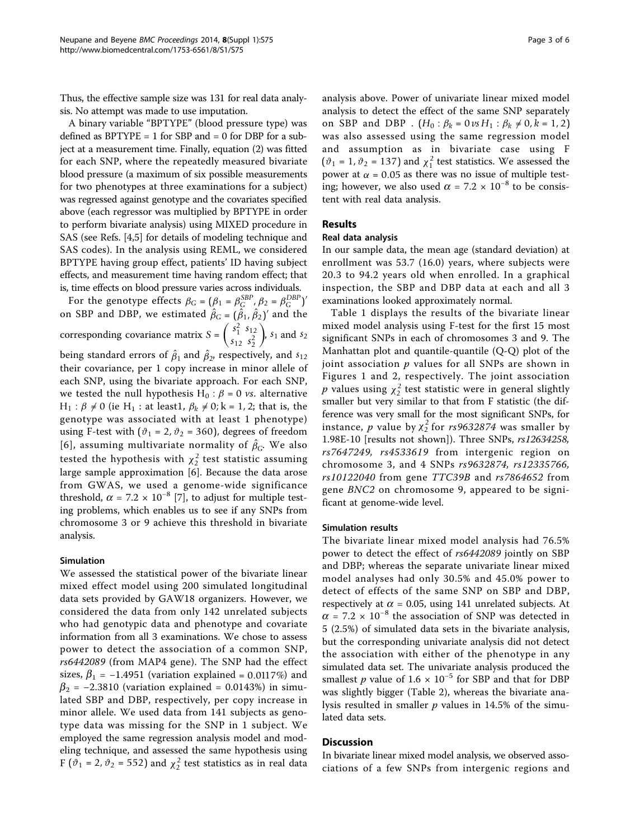Thus, the effective sample size was 131 for real data analysis. No attempt was made to use imputation.

A binary variable "BPTYPE" (blood pressure type) was defined as  $BPTYPE = 1$  for  $SBP$  and  $= 0$  for  $DBP$  for a subject at a measurement time. Finally, equation (2) was fitted for each SNP, where the repeatedly measured bivariate blood pressure (a maximum of six possible measurements for two phenotypes at three examinations for a subject) was regressed against genotype and the covariates specified above (each regressor was multiplied by BPTYPE in order to perform bivariate analysis) using MIXED procedure in SAS (see Refs. [\[4,5\]](#page-5-0) for details of modeling technique and SAS codes). In the analysis using REML, we considered BPTYPE having group effect, patients' ID having subject effects, and measurement time having random effect; that is, time effects on blood pressure varies across individuals.

For the genotype effects  $\beta_G = (\beta_1 = \beta_G^{SBP}, \beta_2 = \beta_G^{DBP})'$ on SBP and DBP, we estimated  $\hat{\beta}_G = (\hat{\beta}_1, \hat{\beta}_2)'$  and the corresponding covariance matrix  $S = \begin{pmatrix} S_1^2 & s_{12} \\ s_1 & s_{22} \end{pmatrix}$  $s_{12} s_2^2$  $\int$ ,  $s_1$  and  $s_2$ being standard errors of  $\hat{\beta}_1$  and  $\hat{\beta}_2$ , respectively, and  $s_{12}$ their covariance, per 1 copy increase in minor allele of each SNP, using the bivariate approach. For each SNP, we tested the null hypothesis H<sub>0</sub> :  $\beta$  = 0 *vs*. alternative  $H_1$  :  $\beta \neq 0$  (ie  $H_1$  : at least1,  $\beta_k \neq 0$ ; k = 1, 2; that is, the genotype was associated with at least 1 phenotype) using F-test with  $(\vartheta_1 = 2, \vartheta_2 = 360)$ , degrees of freedom [[6\]](#page-5-0), assuming multivariate normality of  $\hat{\beta}_G$ . We also tested the hypothesis with  $\chi^2_2$  test statistic assuming large sample approximation [[6\]](#page-5-0). Because the data arose from GWAS, we used a genome-wide significance threshold,  $\alpha$  = 7.2 × 10<sup>-8</sup> [[7\]](#page-5-0), to adjust for multiple testing problems, which enables us to see if any SNPs from chromosome 3 or 9 achieve this threshold in bivariate analysis.

#### Simulation

We assessed the statistical power of the bivariate linear mixed effect model using 200 simulated longitudinal data sets provided by GAW18 organizers. However, we considered the data from only 142 unrelated subjects who had genotypic data and phenotype and covariate information from all 3 examinations. We chose to assess power to detect the association of a common SNP, rs6442089 (from MAP4 gene). The SNP had the effect sizes,  $\beta_1 = -1.4951$  (variation explained = 0.0117%) and  $\beta_2$  = −2.3810 (variation explained = 0.0143%) in simulated SBP and DBP, respectively, per copy increase in minor allele. We used data from 141 subjects as genotype data was missing for the SNP in 1 subject. We employed the same regression analysis model and modeling technique, and assessed the same hypothesis using F ( $\vartheta_1$  = 2,  $\vartheta_2$  = 552) and  $\chi_2^2$  test statistics as in real data

analysis above. Power of univariate linear mixed model analysis to detect the effect of the same SNP separately on SBP and DBP .  $(H_0: \beta_k = 0 \nu s H_1: \beta_k \neq 0, k = 1, 2)$ was also assessed using the same regression model and assumption as in bivariate case using F ( $\vartheta_1$  = 1,  $\vartheta_2$  = 137) and  $\chi_1^2$  test statistics. We assessed the power at  $\alpha$  = 0.05 as there was no issue of multiple testing; however, we also used  $\alpha = 7.2 \times 10^{-8}$  to be consistent with real data analysis.

## Results

## Real data analysis

In our sample data, the mean age (standard deviation) at enrollment was 53.7 (16.0) years, where subjects were 20.3 to 94.2 years old when enrolled. In a graphical inspection, the SBP and DBP data at each and all 3 examinations looked approximately normal.

Table [1](#page-3-0) displays the results of the bivariate linear mixed model analysis using F-test for the first 15 most significant SNPs in each of chromosomes 3 and 9. The Manhattan plot and quantile-quantile (Q-Q) plot of the joint association  $p$  values for all SNPs are shown in Figures [1](#page-3-0) and [2](#page-4-0), respectively. The joint association  $p$  values using  $\chi^2_2$  test statistic were in general slightly smaller but very similar to that from F statistic (the difference was very small for the most significant SNPs, for instance, p value by  $\chi^2$  for rs9632874 was smaller by 1.98E-10 [results not shown]). Three SNPs, rs12634258, rs7647249, rs4533619 from intergenic region on chromosome 3, and 4 SNPs rs9632874, rs12335766, rs10122040 from gene TTC39B and rs7864652 from gene BNC2 on chromosome 9, appeared to be significant at genome-wide level.

#### Simulation results

The bivariate linear mixed model analysis had 76.5% power to detect the effect of rs6442089 jointly on SBP and DBP; whereas the separate univariate linear mixed model analyses had only 30.5% and 45.0% power to detect of effects of the same SNP on SBP and DBP, respectively at  $\alpha$  = 0.05, using 141 unrelated subjects. At  $\alpha$  = 7.2 × 10<sup>-8</sup> the association of SNP was detected in 5 (2.5%) of simulated data sets in the bivariate analysis, but the corresponding univariate analysis did not detect the association with either of the phenotype in any simulated data set. The univariate analysis produced the smallest *p* value of  $1.6 \times 10^{-5}$  for SBP and that for DBP was slightly bigger (Table [2](#page-4-0)), whereas the bivariate analysis resulted in smaller  $p$  values in 14.5% of the simulated data sets.

#### Discussion

In bivariate linear mixed model analysis, we observed associations of a few SNPs from intergenic regions and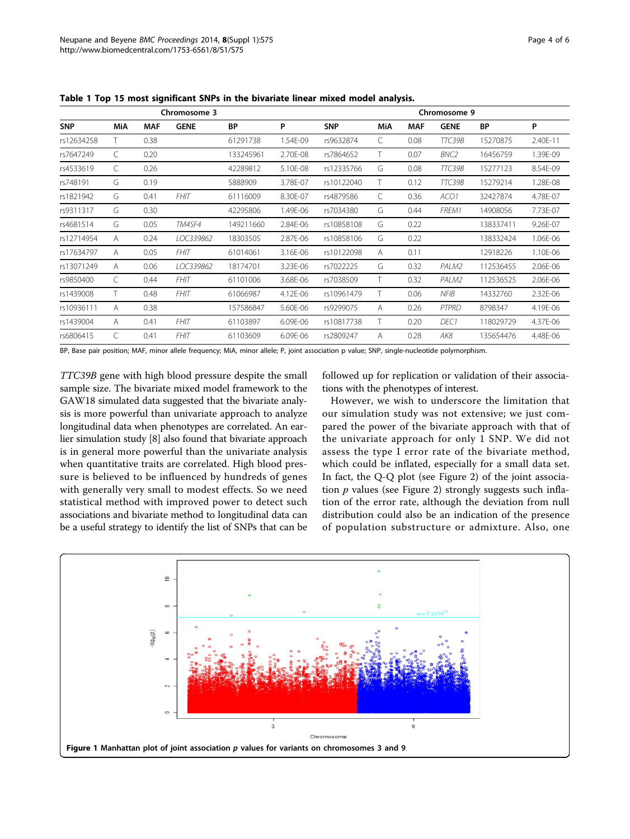|            | Chromosome 3 |            |             |           | Chromosome 9 |            |     |            |                  |           |          |
|------------|--------------|------------|-------------|-----------|--------------|------------|-----|------------|------------------|-----------|----------|
| <b>SNP</b> | MiA          | <b>MAF</b> | <b>GENE</b> | <b>BP</b> | P            | <b>SNP</b> | MiA | <b>MAF</b> | <b>GENE</b>      | <b>BP</b> | P        |
| rs12634258 |              | 0.38       |             | 61291738  | 1.54E-09     | rs9632874  | C   | 0.08       | TTC39B           | 15270875  | 2.40E-11 |
| rs7647249  | C            | 0.20       |             | 133245961 | 2.70E-08     | rs7864652  |     | 0.07       | BNC <sub>2</sub> | 16456759  | 1.39E-09 |
| rs4533619  | C            | 0.26       |             | 42289812  | 5.10E-08     | rs12335766 | G   | 0.08       | TTC39B           | 15277123  | 8.54E-09 |
| rs748191   | G            | 0.19       |             | 5888909   | 3.78E-07     | rs10122040 | Τ   | 0.12       | TTC39B           | 15279214  | 1.28E-08 |
| rs1821942  | G            | 0.41       | <b>FHIT</b> | 61116009  | 8.30E-07     | rs4879586  | C   | 0.36       | ACO1             | 32427874  | 4.78E-07 |
| rs9311317  | G            | 0.30       |             | 42295806  | 1.49E-06     | rs7034380  | G   | 0.44       | FREM1            | 14908056  | 7.73E-07 |
| rs4681514  | G            | 0.05       | TM4SF4      | 149211660 | 2.84E-06     | rs10858108 | G   | 0.22       |                  | 138337411 | 9.26E-07 |
| rs12714954 | A            | 0.24       | LOC339862   | 18303505  | 2.87E-06     | rs10858106 | G   | 0.22       |                  | 138332424 | 1.06E-06 |
| rs17634797 | A            | 0.05       | <b>FHIT</b> | 61014061  | 3.16E-06     | rs10122098 | A   | 0.11       |                  | 12918226  | 1.10E-06 |
| rs13071249 | A            | 0.06       | LOC339862   | 18174701  | 3.23E-06     | rs7022225  | G   | 0.32       | PALM2            | 112536455 | 2.06E-06 |
| rs9850400  | C            | 0.44       | <b>FHIT</b> | 61101006  | 3.68E-06     | rs7038509  | T.  | 0.32       | PALM2            | 112536525 | 2.06E-06 |
| rs1439008  | Τ            | 0.48       | <b>FHIT</b> | 61066987  | 4.12E-06     | rs10961479 | T.  | 0.06       | <b>NFIB</b>      | 14332760  | 2.32E-06 |
| rs10936111 | Α            | 0.38       |             | 157586847 | 5.60E-06     | rs9299075  | A   | 0.26       | PTPRD            | 8798347   | 4.19E-06 |
| rs1439004  | A            | 0.41       | <b>FHIT</b> | 61103897  | 6.09E-06     | rs10817738 | T.  | 0.20       | DEC1             | 118029729 | 4.37E-06 |
| rs6806415  | C            | 0.41       | <b>FHIT</b> | 61103609  | 6.09E-06     | rs2809247  | Α   | 0.28       | AK8              | 135654476 | 4.48E-06 |

<span id="page-3-0"></span>Table 1 Top 15 most significant SNPs in the bivariate linear mixed model analysis.

BP, Base pair position; MAF, minor allele frequency; MiA, minor allele; P, joint association p value; SNP, single-nucleotide polymorphism.

TTC39B gene with high blood pressure despite the small sample size. The bivariate mixed model framework to the GAW18 simulated data suggested that the bivariate analysis is more powerful than univariate approach to analyze longitudinal data when phenotypes are correlated. An earlier simulation study [\[8\]](#page-5-0) also found that bivariate approach is in general more powerful than the univariate analysis when quantitative traits are correlated. High blood pressure is believed to be influenced by hundreds of genes with generally very small to modest effects. So we need statistical method with improved power to detect such associations and bivariate method to longitudinal data can be a useful strategy to identify the list of SNPs that can be followed up for replication or validation of their associations with the phenotypes of interest.

However, we wish to underscore the limitation that our simulation study was not extensive; we just compared the power of the bivariate approach with that of the univariate approach for only 1 SNP. We did not assess the type I error rate of the bivariate method, which could be inflated, especially for a small data set. In fact, the Q-Q plot (see Figure [2\)](#page-4-0) of the joint association  $p$  values (see Figure [2\)](#page-4-0) strongly suggests such inflation of the error rate, although the deviation from null distribution could also be an indication of the presence of population substructure or admixture. Also, one

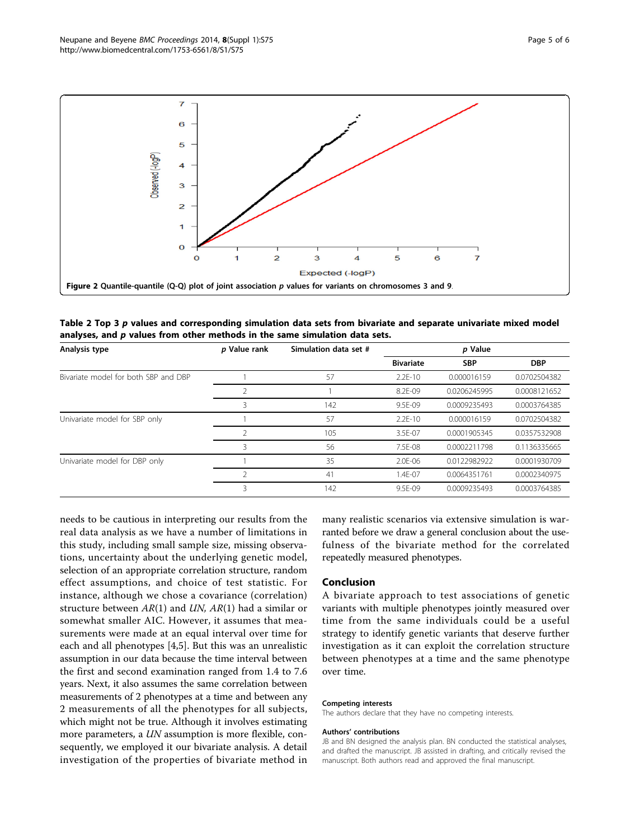<span id="page-4-0"></span>

Table 2 Top 3 p values and corresponding simulation data sets from bivariate and separate univariate mixed model analyses, and p values from other methods in the same simulation data sets.

| Analysis type                        | p Value rank   | Simulation data set # | p Value          |              |              |  |
|--------------------------------------|----------------|-----------------------|------------------|--------------|--------------|--|
|                                      |                |                       | <b>Bivariate</b> | <b>SBP</b>   | <b>DBP</b>   |  |
| Bivariate model for both SBP and DBP |                | 57                    | $2.2E-10$        | 0.000016159  | 0.0702504382 |  |
|                                      |                |                       | 8.2F-09          | 0.0206245995 | 0.0008121652 |  |
|                                      | 3              | 142                   | 9.5F-09          | 0.0009235493 | 0.0003764385 |  |
| Univariate model for SBP only        |                | 57                    | $2.2E-10$        | 0.000016159  | 0.0702504382 |  |
|                                      |                | 105                   | 3.5E-07          | 0.0001905345 | 0.0357532908 |  |
|                                      | 3              | 56                    | 7.5F-08          | 0.0002211798 | 0.1136335665 |  |
| Univariate model for DBP only        |                | 35                    | 2.0E-06          | 0.0122982922 | 0.0001930709 |  |
|                                      | $\mathfrak{D}$ | 41                    | $1.4F - 07$      | 0.0064351761 | 0.0002340975 |  |
|                                      | 3              | 142                   | 9.5E-09          | 0.0009235493 | 0.0003764385 |  |

needs to be cautious in interpreting our results from the real data analysis as we have a number of limitations in this study, including small sample size, missing observations, uncertainty about the underlying genetic model, selection of an appropriate correlation structure, random effect assumptions, and choice of test statistic. For instance, although we chose a covariance (correlation) structure between  $AR(1)$  and  $UN, AR(1)$  had a similar or somewhat smaller AIC. However, it assumes that measurements were made at an equal interval over time for each and all phenotypes [[4,5\]](#page-5-0). But this was an unrealistic assumption in our data because the time interval between the first and second examination ranged from 1.4 to 7.6 years. Next, it also assumes the same correlation between measurements of 2 phenotypes at a time and between any 2 measurements of all the phenotypes for all subjects, which might not be true. Although it involves estimating more parameters, a UN assumption is more flexible, consequently, we employed it our bivariate analysis. A detail investigation of the properties of bivariate method in many realistic scenarios via extensive simulation is warranted before we draw a general conclusion about the usefulness of the bivariate method for the correlated repeatedly measured phenotypes.

### Conclusion

A bivariate approach to test associations of genetic variants with multiple phenotypes jointly measured over time from the same individuals could be a useful strategy to identify genetic variants that deserve further investigation as it can exploit the correlation structure between phenotypes at a time and the same phenotype over time.

#### Competing interests

The authors declare that they have no competing interests.

#### Authors' contributions

JB and BN designed the analysis plan. BN conducted the statistical analyses, and drafted the manuscript. JB assisted in drafting, and critically revised the manuscript. Both authors read and approved the final manuscript.